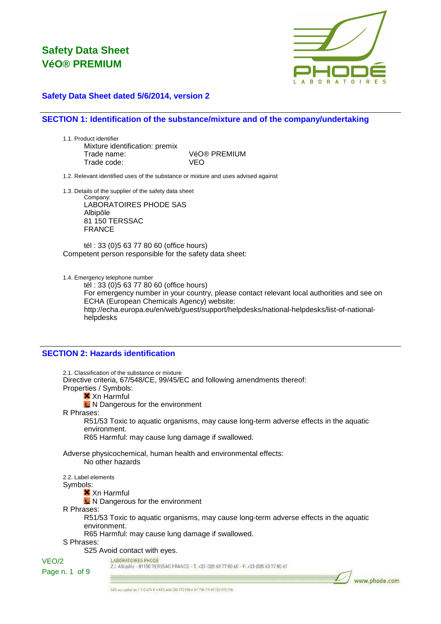

### **Safety Data Sheet dated 5/6/2014, version 2**

### **SECTION 1: Identification of the substance/mixture and of the company/undertaking**

1.1. Product identifier Mixture identification: premix Trade name: VéO® PREMIUM Trade code: VEO

1.2. Relevant identified uses of the substance or mixture and uses advised against

1.3. Details of the supplier of the safety data sheet

Company: LABORATOIRES PHODE SAS Albipôle 81 150 TERSSAC FRANCE

tél : 33 (0)5 63 77 80 60 (office hours) Competent person responsible for the safety data sheet:

1.4. Emergency telephone number

tél : 33 (0)5 63 77 80 60 (office hours) For emergency number in your country, please contact relevant local authorities and see on ECHA (European Chemicals Agency) website: http://echa.europa.eu/en/web/guest/support/helpdesks/national-helpdesks/list-of-nationalhelpdesks

### **SECTION 2: Hazards identification**

2.1. Classification of the substance or mixture Directive criteria, 67/548/CE, 99/45/EC and following amendments thereof: Properties / Symbols: **X** Xn Harmful **K** N Dangerous for the environment R Phrases: R51/53 Toxic to aquatic organisms, may cause long-term adverse effects in the aquatic environment. R65 Harmful: may cause lung damage if swallowed. Adverse physicochemical, human health and environmental effects: No other hazards 2.2. Label elements Symbols: **X** Xn Harmful N Dangerous for the environment R Phrases: R51/53 Toxic to aquatic organisms, may cause long-term adverse effects in the aquatic environment. R65 Harmful: may cause lung damage if swallowed. S Phrases: S25 Avoid contact with eyes. LABORATOIRES PHODE VEO/2 Z.I. Albipôle - 81150 TERSSAC FRANCE - T. +33-(0)5 63 77 80 60 - F. +33-(0)5 63 77 80 61 Page n. 1 of 9



5AS av capital de 1 112 474 € . 605 Athi 503 972 598 . Nº TVA FR 49 303 972 598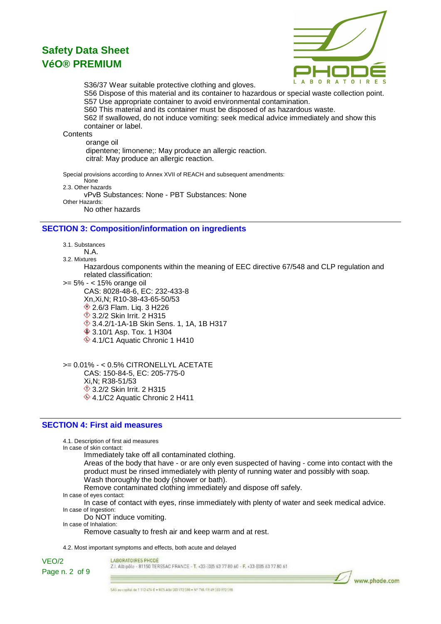

S36/37 Wear suitable protective clothing and gloves.

S56 Dispose of this material and its container to hazardous or special waste collection point. S57 Use appropriate container to avoid environmental contamination.

S60 This material and its container must be disposed of as hazardous waste.

S62 If swallowed, do not induce vomiting: seek medical advice immediately and show this container or label.

**Contents** 

 orange oil dipentene; limonene;: May produce an allergic reaction. citral: May produce an allergic reaction.

Special provisions according to Annex XVII of REACH and subsequent amendments: None 2.3. Other hazards vPvB Substances: None - PBT Substances: None Other Hazards:

No other hazards

### **SECTION 3: Composition/information on ingredients**

3.1. Substances

N.A.

3.2. Mixtures

Hazardous components within the meaning of EEC directive 67/548 and CLP regulation and related classification:

>= 5% - < 15% orange oil

CAS: 8028-48-6, EC: 232-433-8 Xn,Xi,N; R10-38-43-65-50/53 **♦ 2.6/3 Flam. Lig. 3 H226 1**3.2/2 Skin Irrit. 2 H315 3.4.2/1-1A-1B Skin Sens. 1, 1A, 1B H317 **♦ 3.10/1 Asp. Tox. 1 H304** ♦ 4.1/C1 Aquatic Chronic 1 H410

>= 0.01% - < 0.5% CITRONELLYL ACETATE CAS: 150-84-5, EC: 205-775-0 Xi,N; R38-51/53 **♦ 3.2/2 Skin Irrit. 2 H315** ♦ 4.1/C2 Aquatic Chronic 2 H411

### **SECTION 4: First aid measures**

4.1. Description of first aid measures

In case of skin contact:

Immediately take off all contaminated clothing.

Areas of the body that have - or are only even suspected of having - come into contact with the product must be rinsed immediately with plenty of running water and possibly with soap. Wash thoroughly the body (shower or bath).

Remove contaminated clothing immediately and dispose off safely.

- In case of eyes contact:
- In case of contact with eyes, rinse immediately with plenty of water and seek medical advice. In case of Ingestion:

Do NOT induce vomiting.

In case of Inhalation:

Remove casualty to fresh air and keep warm and at rest.

4.2. Most important symptoms and effects, both acute and delayed

VEO/2 Page n. 2 of 9 LABORATOIRES PHODE

Z.I. Albipôle - 81150 TERSSAC FRANCE - T. +33-(0)5 63 77 80 60 - F. +33-(0)5 63 77 80 61

5A5 av choital de 1 112 474 € + 605 Athi 503 972 590 + Nº TVA FR 49 303 972 598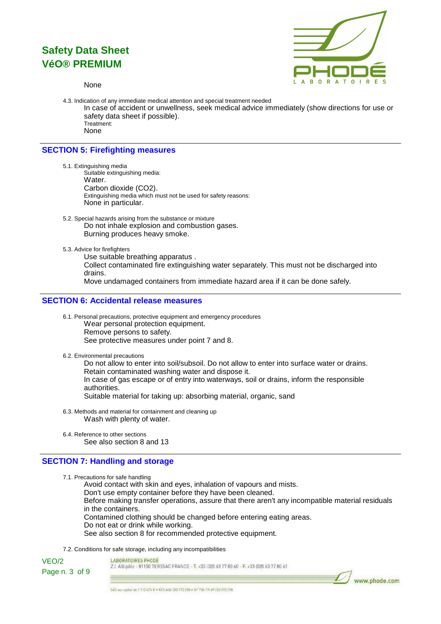

None

4.3. Indication of any immediate medical attention and special treatment needed In case of accident or unwellness, seek medical advice immediately (show directions for use or safety data sheet if possible). Treatment: None

### **SECTION 5: Firefighting measures**

- 5.1. Extinguishing media Suitable extinguishing media: Water. Carbon dioxide (CO2). Extinguishing media which must not be used for safety reasons: None in particular.
- 5.2. Special hazards arising from the substance or mixture Do not inhale explosion and combustion gases. Burning produces heavy smoke.
- 5.3. Advice for firefighters

Use suitable breathing apparatus . Collect contaminated fire extinguishing water separately. This must not be discharged into drains. Move undamaged containers from immediate hazard area if it can be done safely.

### **SECTION 6: Accidental release measures**

- 6.1. Personal precautions, protective equipment and emergency procedures Wear personal protection equipment. Remove persons to safety. See protective measures under point 7 and 8.
- 6.2. Environmental precautions

Do not allow to enter into soil/subsoil. Do not allow to enter into surface water or drains. Retain contaminated washing water and dispose it. In case of gas escape or of entry into waterways, soil or drains, inform the responsible authorities. Suitable material for taking up: absorbing material, organic, sand

- 6.3. Methods and material for containment and cleaning up Wash with plenty of water.
- 6.4. Reference to other sections See also section 8 and 13

### **SECTION 7: Handling and storage**

7.1. Precautions for safe handling

Avoid contact with skin and eyes, inhalation of vapours and mists. Don't use empty container before they have been cleaned. Before making transfer operations, assure that there aren't any incompatible material residuals in the containers. Contamined clothing should be changed before entering eating areas. Do not eat or drink while working. See also section 8 for recommended protective equipment.

7.2. Conditions for safe storage, including any incompatibilities

VEO/2 Page n. 3 of 9

#### LABORATOIRES PHODE

Z.I. Albipôle - 81150 TERSSAC FRANCE - T. +33-(0)5 63 77 80 60 - F. +33-(0)5 63 77 80 61

www.phode.com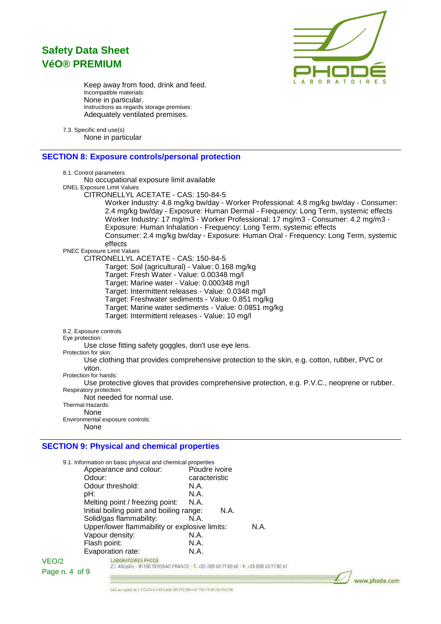

Keep away from food, drink and feed. Incompatible materials: None in particular. Instructions as regards storage premises: Adequately ventilated premises.

7.3. Specific end use(s) None in particular

### **SECTION 8: Exposure controls/personal protection**

| 8.1. Control parameters                                                                        |  |
|------------------------------------------------------------------------------------------------|--|
| No occupational exposure limit available                                                       |  |
| <b>DNEL Exposure Limit Values</b>                                                              |  |
| CITRONELLYL ACETATE - CAS: 150-84-5                                                            |  |
| Worker Industry: 4.8 mg/kg bw/day - Worker Professional: 4.8 mg/kg bw/day - Consumer:          |  |
| 2.4 mg/kg bw/day - Exposure: Human Dermal - Frequency: Long Term, systemic effects             |  |
| Worker Industry: 17 mg/m3 - Worker Professional: 17 mg/m3 - Consumer: 4.2 mg/m3 -              |  |
| Exposure: Human Inhalation - Frequency: Long Term, systemic effects                            |  |
| Consumer: 2.4 mg/kg bw/day - Exposure: Human Oral - Frequency: Long Term, systemic             |  |
| effects                                                                                        |  |
| <b>PNEC Exposure Limit Values</b>                                                              |  |
| CITRONELLYL ACETATE - CAS: 150-84-5                                                            |  |
| Target: Soil (agricultural) - Value: 0.168 mg/kg                                               |  |
| Target: Fresh Water - Value: 0.00348 mg/l                                                      |  |
| Target: Marine water - Value: 0.000348 mg/l                                                    |  |
| Target: Intermittent releases - Value: 0.0348 mg/l                                             |  |
| Target: Freshwater sediments - Value: 0.851 mg/kg                                              |  |
|                                                                                                |  |
| Target: Marine water sediments - Value: 0.0851 mg/kg                                           |  |
| Target: Intermittent releases - Value: 10 mg/l                                                 |  |
| 8.2. Exposure controls                                                                         |  |
| Eye protection:                                                                                |  |
| Use close fitting safety goggles, don't use eye lens.                                          |  |
| Protection for skin:                                                                           |  |
| Use clothing that provides comprehensive protection to the skin, e.g. cotton, rubber, PVC or   |  |
| viton.                                                                                         |  |
| Protection for hands:                                                                          |  |
| Use protective gloves that provides comprehensive protection, e.g. P.V.C., neoprene or rubber. |  |
| Respiratory protection:<br>Not needed for normal use.                                          |  |
| Thermal Hazards:                                                                               |  |
| None                                                                                           |  |
| Environmental exposure controls:                                                               |  |
| None                                                                                           |  |
|                                                                                                |  |

## **SECTION 9: Physical and chemical properties**

|                | 9.1. Information on basic physical and chemical properties                               |               |      |  |
|----------------|------------------------------------------------------------------------------------------|---------------|------|--|
|                | Appearance and colour:                                                                   | Poudre ivoire |      |  |
|                | Odour:                                                                                   | caracteristic |      |  |
|                | Odour threshold:                                                                         | N.A.          |      |  |
|                | pH:                                                                                      | N.A.          |      |  |
|                | Melting point / freezing point:                                                          | N.A.          |      |  |
|                | Initial boiling point and boiling range:                                                 | N.A.          |      |  |
|                | Solid/gas flammability:                                                                  | N.A.          |      |  |
|                | Upper/lower flammability or explosive limits:                                            |               | N.A. |  |
|                | Vapour density:                                                                          | N.A.          |      |  |
|                | Flash point:                                                                             | N.A.          |      |  |
|                | Evaporation rate:                                                                        | N.A.          |      |  |
| VEO/2          | <b>LABORATOIRES PHODE</b>                                                                |               |      |  |
| Page n. 4 of 9 | Z.I. Albipõle - 81150 TERSSAC FRANCE - T. +33-(0)5 63 77 80 60 - F. +33-(0)5 63 77 80 61 |               |      |  |
|                |                                                                                          |               |      |  |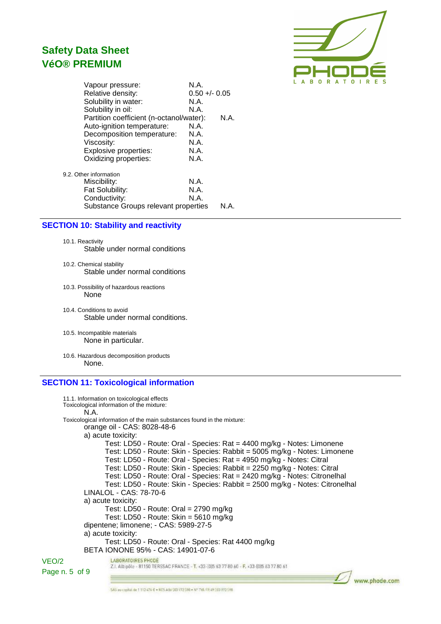

| Vapour pressure:                         | N.A.            |      |
|------------------------------------------|-----------------|------|
| Relative density:                        | $0.50 +/- 0.05$ |      |
| Solubility in water:                     | N.A.            |      |
| Solubility in oil:                       | N.A.            |      |
| Partition coefficient (n-octanol/water): |                 | N.A. |
| Auto-ignition temperature:               | N.A.            |      |
| Decomposition temperature:               | N.A.            |      |
| Viscosity:                               | N.A.            |      |
| Explosive properties:                    | N.A.            |      |
| Oxidizing properties:                    | N.A.            |      |
| 9.2. Other information                   |                 |      |
| Miscibility:                             | N.A.            |      |
| Fat Solubility:                          | N.A.            |      |
| Conductivity:                            | N.A.            |      |
| Substance Groups relevant properties     |                 | N.A. |

#### **SECTION 10: Stability and reactivity**

10.1. Reactivity Stable under normal conditions

- 10.2. Chemical stability Stable under normal conditions
- 10.3. Possibility of hazardous reactions None
- 10.4. Conditions to avoid Stable under normal conditions.
- 10.5. Incompatible materials None in particular.
- 10.6. Hazardous decomposition products None.

### **SECTION 11: Toxicological information**

```
11.1. Information on toxicological effects
       Toxicological information of the mixture:
             N.A.
       Toxicological information of the main substances found in the mixture:
             orange oil - CAS: 8028-48-6
             a) acute toxicity:
                    Test: LD50 - Route: Oral - Species: Rat = 4400 mg/kg - Notes: Limonene
                    Test: LD50 - Route: Skin - Species: Rabbit = 5005 mg/kg - Notes: Limonene
                    Test: LD50 - Route: Oral - Species: Rat = 4950 mg/kg - Notes: Citral
                    Test: LD50 - Route: Skin - Species: Rabbit = 2250 mg/kg - Notes: Citral
                    Test: LD50 - Route: Oral - Species: Rat = 2420 mg/kg - Notes: Citronelhal
                    Test: LD50 - Route: Skin - Species: Rabbit = 2500 mg/kg - Notes: Citronelhal
             LINALOL - CAS: 78-70-6
             a) acute toxicity:
                    Test: LD50 - Route: Oral = 2790 mg/kg
                    Test: LD50 - Route: Skin = 5610 mg/kg
             dipentene; limonene; - CAS: 5989-27-5
             a) acute toxicity:
                    Test: LD50 - Route: Oral - Species: Rat 4400 mg/kg
             BETA IONONE 95% - CAS: 14901-07-6
                      LABORATOIRES PHODE
VEO/2
                      Z.I. Albipóle - 81150 TERSSAC FRANCE - T. +33-{0}5 63 77 80 60 - F. +33-{0}5 63 77 80 61
```
Page n. 5 of 9

www.phode.com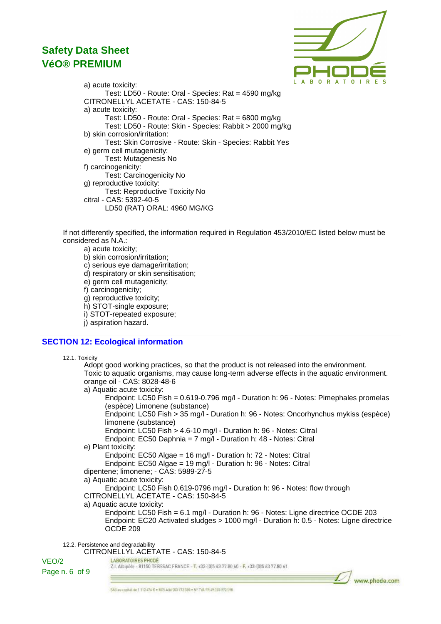

a) acute toxicity: Test: LD50 - Route: Oral - Species: Rat = 4590 mg/kg CITRONELLYL ACETATE - CAS: 150-84-5 a) acute toxicity: Test: LD50 - Route: Oral - Species: Rat = 6800 mg/kg Test: LD50 - Route: Skin - Species: Rabbit > 2000 mg/kg b) skin corrosion/irritation: Test: Skin Corrosive - Route: Skin - Species: Rabbit Yes e) germ cell mutagenicity: Test: Mutagenesis No f) carcinogenicity: Test: Carcinogenicity No g) reproductive toxicity: Test: Reproductive Toxicity No citral - CAS: 5392-40-5 LD50 (RAT) ORAL: 4960 MG/KG

If not differently specified, the information required in Regulation 453/2010/EC listed below must be considered as N.A.:

a) acute toxicity;

b) skin corrosion/irritation;

c) serious eye damage/irritation;

d) respiratory or skin sensitisation;

e) germ cell mutagenicity;

f) carcinogenicity;

g) reproductive toxicity;

h) STOT-single exposure;

i) STOT-repeated exposure;

i) aspiration hazard.

### **SECTION 12: Ecological information**

12.1. Toxicity

Adopt good working practices, so that the product is not released into the environment. Toxic to aquatic organisms, may cause long-term adverse effects in the aquatic environment. orange oil - CAS: 8028-48-6 a) Aquatic acute toxicity: Endpoint: LC50 Fish = 0.619-0.796 mg/l - Duration h: 96 - Notes: Pimephales promelas (espèce) Limonene (substance) Endpoint: LC50 Fish > 35 mg/l - Duration h: 96 - Notes: Oncorhynchus mykiss (espèce) limonene (substance) Endpoint: LC50 Fish > 4.6-10 mg/l - Duration h: 96 - Notes: Citral Endpoint: EC50 Daphnia = 7 mg/l - Duration h: 48 - Notes: Citral e) Plant toxicity: Endpoint: EC50 Algae = 16 mg/l - Duration h: 72 - Notes: Citral Endpoint: EC50 Algae = 19 mg/l - Duration h: 96 - Notes: Citral dipentene; limonene; - CAS: 5989-27-5 a) Aquatic acute toxicity: Endpoint: LC50 Fish 0.619-0796 mg/l - Duration h: 96 - Notes: flow through CITRONELLYL ACETATE - CAS: 150-84-5 a) Aquatic acute toxicity: Endpoint: LC50 Fish = 6.1 mg/l - Duration h: 96 - Notes: Ligne directrice OCDE 203

Endpoint: EC20 Activated sludges > 1000 mg/l - Duration h: 0.5 - Notes: Ligne directrice OCDE 209

12.2. Persistence and degradability

CITRONELLYL ACETATE - CAS: 150-84-5

LABORATOIRES PHODE VEO/2 Z.I. Albipôle - 81150 TERSSAC FRANCE - T. +33-(0)5 63 77 80 60 - F. +33-(0)5 63 77 80 61 Page n. 6 of 9

www.phode.com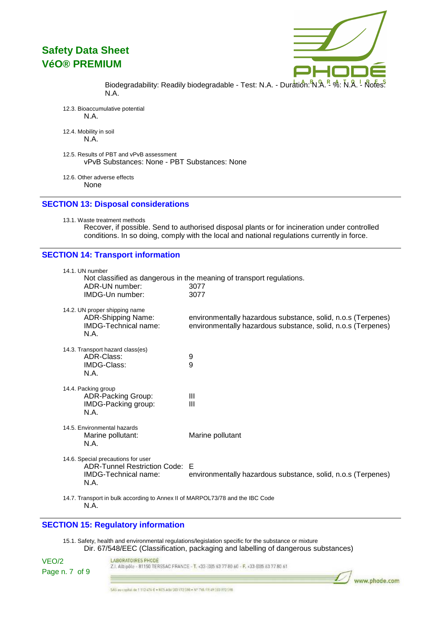

Biodegradability: Readily biodegradable - Test: N.A. - Duration: N.A. - %: N.A. - Notes: N.A.

12.3. Bioaccumulative potential N.A.

12.4. Mobility in soil N.A.

- 12.5. Results of PBT and vPvB assessment vPvB Substances: None - PBT Substances: None
- 12.6. Other adverse effects None

### **SECTION 13: Disposal considerations**

13.1. Waste treatment methods

Recover, if possible. Send to authorised disposal plants or for incineration under controlled conditions. In so doing, comply with the local and national regulations currently in force.

### **SECTION 14: Transport information**

| 14.1. UN number<br>ADR-UN number:<br>IMDG-Un number:                                                 | Not classified as dangerous in the meaning of transport regulations.<br>3077<br>3077                                         |
|------------------------------------------------------------------------------------------------------|------------------------------------------------------------------------------------------------------------------------------|
| 14.2. UN proper shipping name<br><b>ADR-Shipping Name:</b><br><b>IMDG-Technical name:</b><br>N.A.    | environmentally hazardous substance, solid, n.o.s (Terpenes)<br>environmentally hazardous substance, solid, n.o.s (Terpenes) |
| 14.3. Transport hazard class(es)<br>ADR-Class:<br>IMDG-Class:<br>N.A.                                | 9<br>9                                                                                                                       |
| 14.4. Packing group<br><b>ADR-Packing Group:</b><br>IMDG-Packing group:<br>N.A.                      | Ш<br>Ш                                                                                                                       |
| 14.5. Environmental hazards<br>Marine pollutant:<br>N.A.                                             | Marine pollutant                                                                                                             |
| 14.6. Special precautions for user<br>ADR-Tunnel Restriction Code: E<br>IMDG-Technical name:<br>N.A. | environmentally hazardous substance, solid, n.o.s (Terpenes)                                                                 |
| 14.7. Transport in bulk according to Annex II of MARPOL73/78 and the IBC Code                        |                                                                                                                              |

N.A.

### **SECTION 15: Regulatory information**

15.1. Safety, health and environmental regulations/legislation specific for the substance or mixture Dir. 67/548/EEC (Classification, packaging and labelling of dangerous substances)

| VEO/2          | LABORATOIRES PHODE<br>Z.I. Albipõlg - 81150 TERSSAC FRANCE - T. +33-(0)5 63 77 80 60 - F. +33-(0)5 63 77 80 61 |               |
|----------------|----------------------------------------------------------------------------------------------------------------|---------------|
| Page n. 7 of 9 | 문 대한 사람은 공사하여 다른 학생에 따 없는 바닥에 대 가장 사람이 되어 있는 것이 아래에 대 전 사람들이 아니다. 그는 아이의 이 사람들이 아니다. 그는 정부의 이 사람이 있는 모습이       |               |
|                |                                                                                                                | www.phode.com |

SAS av capital de 1 112 474 € + 605 Athi 503 972 598 + Nº TVA FR A9 303 972 598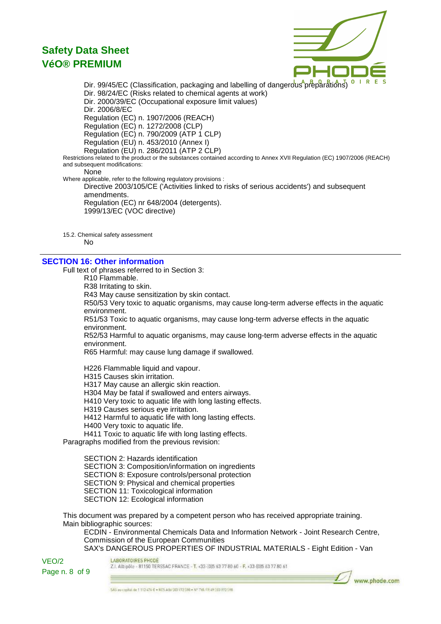

Dir. 99/45/EC (Classification, packaging and labelling of dangerous<sup>A</sup>preparations)<sup>o</sup> Dir. 98/24/EC (Risks related to chemical agents at work) Dir. 2000/39/EC (Occupational exposure limit values) Dir. 2006/8/EC Regulation (EC) n. 1907/2006 (REACH) Regulation (EC) n. 1272/2008 (CLP) Regulation (EC) n. 790/2009 (ATP 1 CLP) Regulation (EU) n. 453/2010 (Annex I) Regulation (EU) n. 286/2011 (ATP 2 CLP) Restrictions related to the product or the substances contained according to Annex XVII Regulation (EC) 1907/2006 (REACH) and subsequent modifications: None Where applicable, refer to the following regulatory provisions : Directive 2003/105/CE ('Activities linked to risks of serious accidents') and subsequent amendments. Regulation (EC) nr 648/2004 (detergents). 1999/13/EC (VOC directive)

15.2. Chemical safety assessment No

### **SECTION 16: Other information**

Full text of phrases referred to in Section 3:

R10 Flammable.

R38 Irritating to skin.

R43 May cause sensitization by skin contact.

R50/53 Very toxic to aquatic organisms, may cause long-term adverse effects in the aquatic environment.

R51/53 Toxic to aquatic organisms, may cause long-term adverse effects in the aquatic environment.

R52/53 Harmful to aquatic organisms, may cause long-term adverse effects in the aquatic environment.

R65 Harmful: may cause lung damage if swallowed.

H226 Flammable liquid and vapour.

H315 Causes skin irritation.

H317 May cause an allergic skin reaction.

H304 May be fatal if swallowed and enters airways.

H410 Very toxic to aquatic life with long lasting effects.

H319 Causes serious eye irritation.

H412 Harmful to aquatic life with long lasting effects.

H400 Very toxic to aquatic life.

H411 Toxic to aquatic life with long lasting effects.

Paragraphs modified from the previous revision:

SECTION 2: Hazards identification SECTION 3: Composition/information on ingredients SECTION 8: Exposure controls/personal protection SECTION 9: Physical and chemical properties SECTION 11: Toxicological information SECTION 12: Ecological information

This document was prepared by a competent person who has received appropriate training. Main bibliographic sources:

ECDIN - Environmental Chemicals Data and Information Network - Joint Research Centre, Commission of the European Communities SAX's DANGEROUS PROPERTIES OF INDUSTRIAL MATERIALS - Eight Edition - Van

LABORATOIRES PHODE VEO/2 Z.I. Albipôle - 81150 TERSSAC FRANCE - T. +33-(0)5 63 77 80 60 - F. +33-(0)5 63 77 80 61 Page n. 8 of 9 www.phode.com